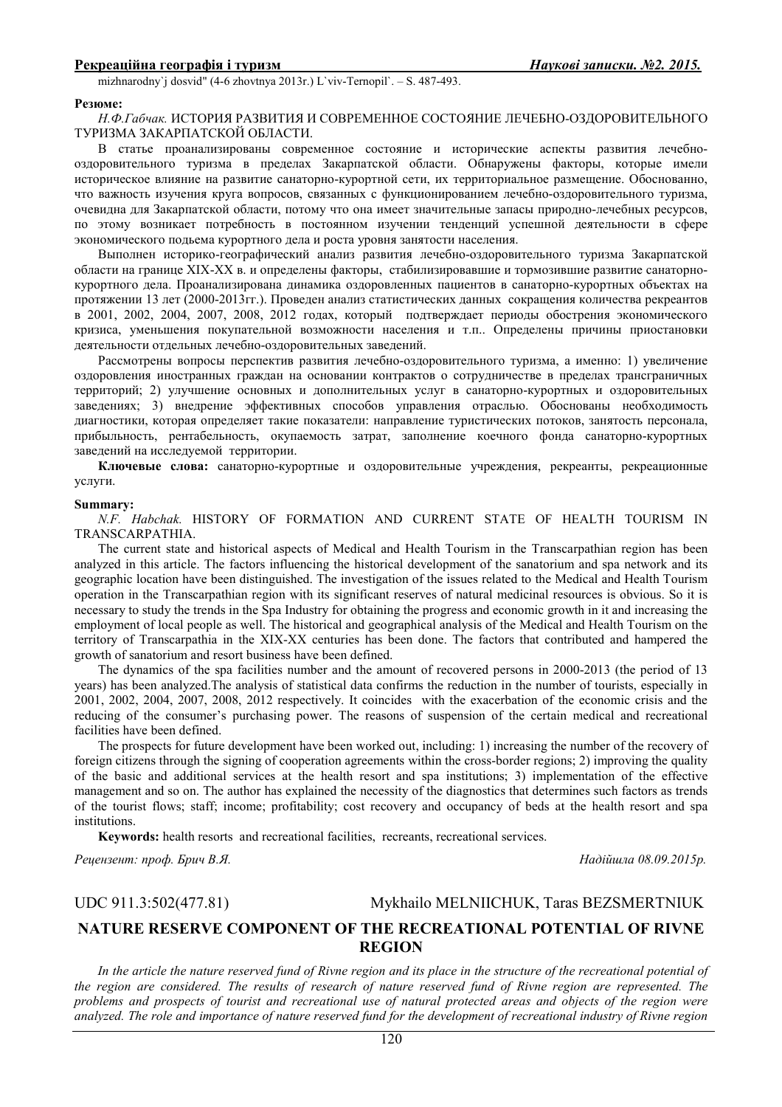mizhnarodny`j dosvid" (4-6 zhovtnya 2013r.) L`viv-Ternopil`. – S. 487-493.

#### **Резюме:**

*Н.Ф.Габчак.* ИСТОРИЯ РАЗВИТИЯ И СОВРЕМЕННОЕ СОСТОЯНИЕ ЛЕЧЕБНО-ОЗДОРОВИТЕЛЬНОГО ТУРИЗМА ЗАКАРПАТСКОЙ ОБЛАСТИ.

В статье проанализированы современное состояние и исторические аспекты развития лечебнооздоровительного туризма в пределах Закарпатской области. Обнаружены факторы, которые имели историческое влияние на развитие санаторно-курортной сети, их территориальное размещение. Обоснованно, что важность изучения круга вопросов, связанных с функционированием лечебно-оздоровительного туризма, очевидна для Закарпатской области, потому что она имеет значительные запасы природно-лечебных ресурсов, по этому возникает потребность в постоянном изучении тенденций успешной деятельности в сфере экономического подьема курортного дела и роста уровня занятости населения.

Выполнен историко-географический анализ развития лечебно-оздоровительного туризма Закарпатской области на границе XIX-XX в. и определены факторы, стабилизировавшие и тормозившие развитие санаторнокурортного дела. Проанализирована динамика оздоровленных пациентов в санаторно-курортных объектах на протяжении 13 лет (2000-2013гг.). Проведен анализ статистических данных сокращения количества рекреантов в 2001, 2002, 2004, 2007, 2008, 2012 годах, который подтверждает периоды обострения экономического кризиса, уменьшения покупательной возможности населения и т.п.. Определены причины приостановки деятельности отдельных лечебно-оздоровительных заведений.

Рассмотрены вопросы перспектив развития лечебно-оздоровительного туризма, а именно: 1) увеличение оздоровления иностранных граждан на основании контрактов о сотрудничестве в пределах трансграничных территорий; 2) улучшение основных и дополнительных услуг в санаторно-курортных и оздоровительных заведениях; 3) внедрение эффективных способов управления отраслью. Обоснованы необходимость диагностики, которая определяет такие показатели: направление туристических потоков, занятость персонала, прибыльность, рентабельность, окупаемость затрат, заполнение коечного фонда санаторно-курортных заведений на исследуемой территории.

**Ключевые слова:** санаторно-курортные и оздоровительные учреждения, рекреанты, рекреационные услуги.

#### **Summary:**

*N.F. Habchak.* HISTORY OF FORMATION AND CURRENT STATE OF HEALTH TOURISM IN TRANSCARPATHIA.

The current state and historical aspects of Medical and Health Tourism in the Transcarpathian region has been analyzed in this article. The factors influencing the historical development of the sanatorium and spa network and its geographic location have been distinguished. The investigation of the issues related to the Medical and Health Tourism operation in the Transcarpathian region with its significant reserves of natural medicinal resources is obvious. So it is necessary to study the trends in the Spa Industry for obtaining the progress and economic growth in it and increasing the employment of local people as well. The historical and geographical analysis of the Medical and Health Tourism on the territory of Transcarpathia in the XIX-XX centuries has been done. The factors that contributed and hampered the growth of sanatorium and resort business have been defined.

The dynamics of the spa facilities number and the amount of recovered persons in 2000-2013 (the period of 13 years) has been analyzed.The analysis of statistical data confirms the reduction in the number of tourists, especially in 2001, 2002, 2004, 2007, 2008, 2012 respectively. It coincides with the exacerbation of the economic crisis and the reducing of the consumer's purchasing power. The reasons of suspension of the certain medical and recreational facilities have been defined.

The prospects for future development have been worked out, including: 1) increasing the number of the recovery of foreign citizens through the signing of cooperation agreements within the cross-border regions; 2) improving the quality of the basic and additional services at the health resort and spa institutions; 3) implementation of the effective management and so on. The author has explained the necessity of the diagnostics that determines such factors as trends of the tourist flows; staff; income; profitability; cost recovery and occupancy of beds at the health resort and spa institutions.

**Keywords:** health resorts and recreational facilities, recreants, recreational services.

*Рецензент: проф. Брич В.Я. Надійшла 08.09.2015р.* 

UDC 911.3:502(477.81)Mykhailo MELNIICHUK, Taras BEZSMERTNIUK

# **NATURE RESERVE COMPONENT OF THE RECREATIONAL POTENTIAL OF RIVNE REGION**

In the article the nature reserved fund of Rivne region and its place in the structure of the recreational potential of *the region are considered. The results of research of nature reserved fund of Rivne region are represented. The problems and prospects of tourist and recreational use of natural protected areas and objects of the region were analyzed. The role and importance of nature reserved fund for the development of recreational industry of Rivne region*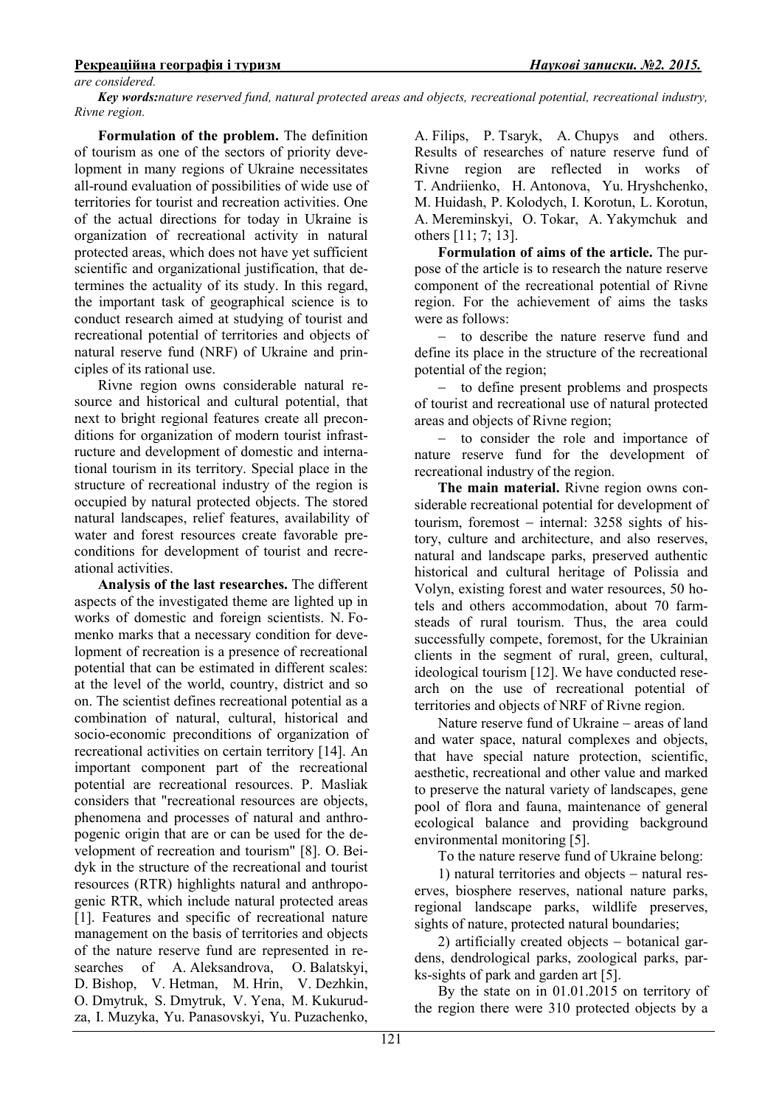### *are considered.*

*Key words:nature reserved fund, natural protected areas and objects, recreational potential, recreational industry, Rivne region.*

**Formulation of the problem.** The definition of tourism as one of the sectors of priority development in many regions of Ukraine necessitates all-round evaluation of possibilities of wide use of territories for tourist and recreation activities. One of the actual directions for today in Ukraine is organization of recreational activity in natural protected areas, which does not have yet sufficient scientific and organizational justification, that determines the actuality of its study. In this regard, the important task of geographical science is to conduct research aimed at studying of tourist and recreational potential of territories and objects of natural reserve fund (NRF) of Ukraine and principles of its rational use.

Rivne region owns considerable natural resource and historical and cultural potential, that next to bright regional features create all preconditions for organization of modern tourist infrastructure and development of domestic and international tourism in its territory. Special place in the structure of recreational industry of the region is occupied by natural protected objects. The stored natural landscapes, relief features, availability of water and forest resources create favorable preconditions for development of tourist and recreational activities.

**Analysis of the last researches.** The different aspects of the investigated theme are lighted up in works of domestic and foreign scientists. N. Fomenko marks that a necessary condition for development of recreation is a presence of recreational potential that can be estimated in different scales: at the level of the world, country, district and so on. The scientist defines recreational potential as a combination of natural, cultural, historical and socio-economic preconditions of organization of recreational activities on certain territory [14]. An important component part of the recreational potential are recreational resources. P. Masliak considers that "recreational resources are objects, phenomena and processes of natural and anthropogenic origin that are or can be used for the development of recreation and tourism" [8]. O. Beidyk in the structure of the recreational and tourist resources (RTR) highlights natural and anthropogenic RTR, which include natural protected areas [1]. Features and specific of recreational nature management on the basis of territories and objects of the nature reserve fund are represented in researches of A. Aleksandrova, O. Balatskyi, D. Bishop, V. Hetman, M. Hrin, V. Dezhkin, O. Dmytruk, S. Dmytruk, V. Yena, M. Kukurudza, I. Muzyka, Yu. Panasovskyi, Yu. Puzachenko,

A. Filips, P. Tsaryk, A. Chupys and others. Results of researches of nature reserve fund of Rivne region are reflected in works of T. Andriienko, H. Antonova, Yu. Hryshchenko, M. Huidash, P. Kolodych, I. Korotun, L. Korotun, A. Mereminskyi, O. Tokar, A. Yakymchuk and others [11; 7; 13].

**Formulation of aims of the article.** The purpose of the article is to research the nature reserve component of the recreational potential of Rivne region. For the achievement of aims the tasks were as follows:

to describe the nature reserve fund and define its place in the structure of the recreational potential of the region;

− to define present problems and prospects of tourist and recreational use of natural protected areas and objects of Rivne region;

− to consider the role and importance of nature reserve fund for the development of recreational industry of the region.

**The main material.** Rivne region owns considerable recreational potential for development of tourism, foremost − internal: 3258 sights of history, culture and architecture, and also reserves, natural and landscape parks, preserved authentic historical and cultural heritage of Polissia and Volyn, existing forest and water resources, 50 hotels and others accommodation, about 70 farmsteads of rural tourism. Thus, the area could successfully compete, foremost, for the Ukrainian clients in the segment of rural, green, cultural, ideological tourism [12]. We have conducted research on the use of recreational potential of territories and objects of NRF of Rivne region.

Nature reserve fund of Ukraine − areas of land and water space, natural complexes and objects, that have special nature protection, scientific, aesthetic, recreational and other value and marked to preserve the natural variety of landscapes, gene pool of flora and fauna, maintenance of general ecological balance and providing background environmental monitoring [5].

To the nature reserve fund of Ukraine belong:

1) natural territories and objects − natural reserves, biosphere reserves, national nature parks, regional landscape parks, wildlife preserves, sights of nature, protected natural boundaries;

2) artificially created objects − botanical gardens, dendrological parks, zoological parks, parks-sights of park and garden art [5].

By the state on in 01.01.2015 on territory of the region there were 310 protected objects by a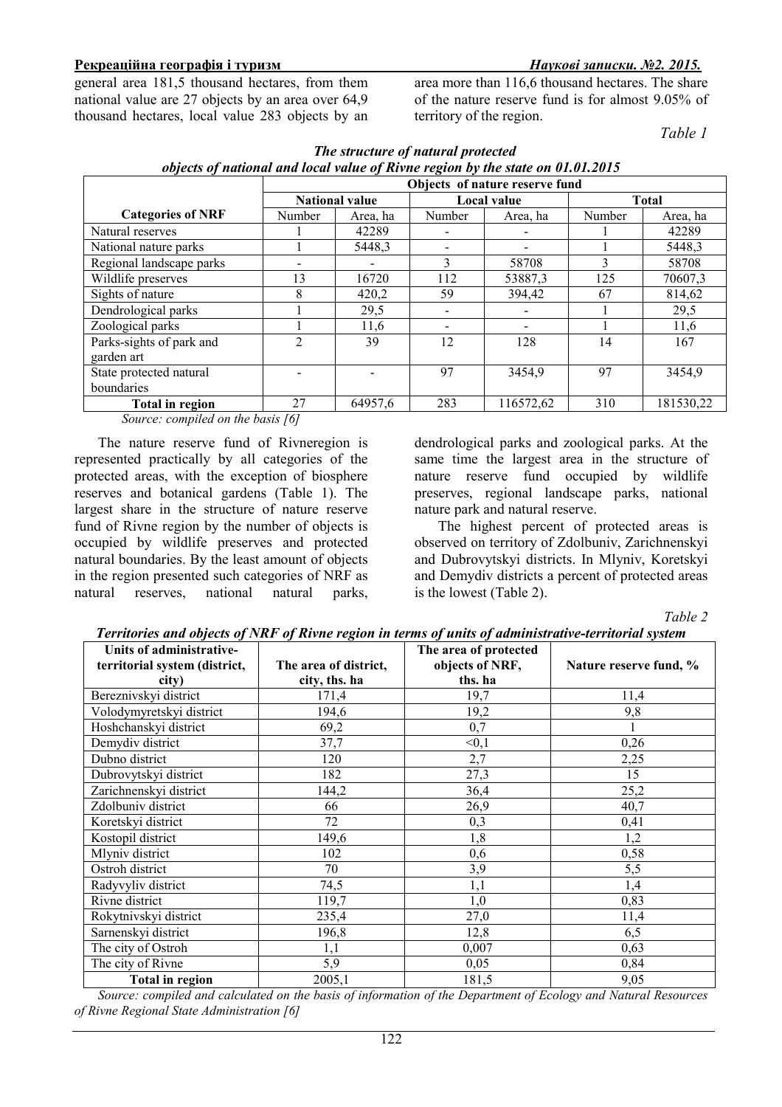general area 181,5 thousand hectares, from them national value are 27 objects by an area over 64,9 thousand hectares, local value 283 objects by an area more than 116,6 thousand hectares. The share of the nature reserve fund is for almost 9.05% of territory of the region.

*Table 1* 

|                          | Objects of nature reserve fund |          |                          |           |              |           |
|--------------------------|--------------------------------|----------|--------------------------|-----------|--------------|-----------|
|                          | <b>National value</b>          |          | Local value              |           | <b>Total</b> |           |
| <b>Categories of NRF</b> | <b>Number</b>                  | Area, ha | Number                   | Area, ha  | Number       | Area, ha  |
| Natural reserves         |                                | 42289    |                          |           |              | 42289     |
| National nature parks    |                                | 5448.3   | $\overline{\phantom{a}}$ |           |              | 5448,3    |
| Regional landscape parks |                                |          | 3                        | 58708     | 3            | 58708     |
| Wildlife preserves       | 13                             | 16720    | 112                      | 53887,3   | 125          | 70607,3   |
| Sights of nature         | 8                              | 420,2    | 59                       | 394,42    | 67           | 814,62    |
| Dendrological parks      |                                | 29,5     | $\overline{\phantom{a}}$ |           |              | 29,5      |
| Zoological parks         |                                | 11,6     | $\overline{\phantom{a}}$ |           |              | 11,6      |
| Parks-sights of park and | າ                              | 39       | 12                       | 128       | 14           | 167       |
| garden art               |                                |          |                          |           |              |           |
| State protected natural  |                                |          | 97                       | 3454,9    | 97           | 3454,9    |
| boundaries               |                                |          |                          |           |              |           |
| Total in region          | 27                             | 64957,6  | 283                      | 116572,62 | 310          | 181530,22 |

| The structure of natural protected                                             |
|--------------------------------------------------------------------------------|
| objects of national and local value of Rivne region by the state on 01.01.2015 |

*Source: compiled on the basis [6]*

The nature reserve fund of Rivneregion is represented practically by all categories of the protected areas, with the exception of biosphere reserves and botanical gardens (Table 1). The largest share in the structure of nature reserve fund of Rivne region by the number of objects is occupied by wildlife preserves and protected natural boundaries. By the least amount of objects in the region presented such categories of NRF as natural reserves, national natural parks,

dendrological parks and zoological parks. At the same time the largest area in the structure of nature reserve fund occupied by wildlife preserves, regional landscape parks, national nature park and natural reserve.

The highest percent of protected areas is observed on territory of Zdolbuniv, Zarichnenskyi and Dubrovytskyi districts. In Mlyniv, Koretskyi and Demydiv districts a percent of protected areas is the lowest (Table 2).

*Table 2* 

*Territories and objects of NRF of Rivne region in terms of units of administrative-territorial system*  **Units of administrativeterritorial system (district, city) The area of district, city, ths. ha The area of protected objects of NRF, ths. ha Nature reserve fund, %**  Bereznivskyi district 171,4 19,7 11,4 11,4 Volodymyretskyi district 194,6 19,2 9,8 Hoshchanskyi district  $\begin{array}{ccc} 69.2 & 0.7 & 1 \end{array}$ Demydiv district  $37.7$   $\leq 0.1$  0.26 Pubno district 120 2,7 2,25<br>
Dubrovytský district 182 27.3 15 Dubrovytskyi district 182 27,3 15 Zarichnenskyi district 144,2 36,4 25,2 Zdolbuniv district 66 6 26,9 40,7 Koretskyi district  $72$  0,3  $0.3$  0,41 Kostopil district  $149.6$  1,8 1,2 Mlyniv district 102 0,6 0,58 Ostroh district 70 3,9 5,5 Radyvyliv district  $74,5$   $1,1$   $1,4$ Rivne district 119,7 1,0 0,83 Rokytnivskyi district 235,4 27,0 11,4 Sarnenskyi district 196,8 12,8 6,5 The city of Ostroh  $1,1$  0,007 0.63 The city of Rivne  $5,9$  0,05 0,84 **Total in region** 2005,1 181,5 9,05

*Source: compiled and calculated on the basis of information of the Department of Ecology and Natural Resources of Rivne Regional State Administration [6]*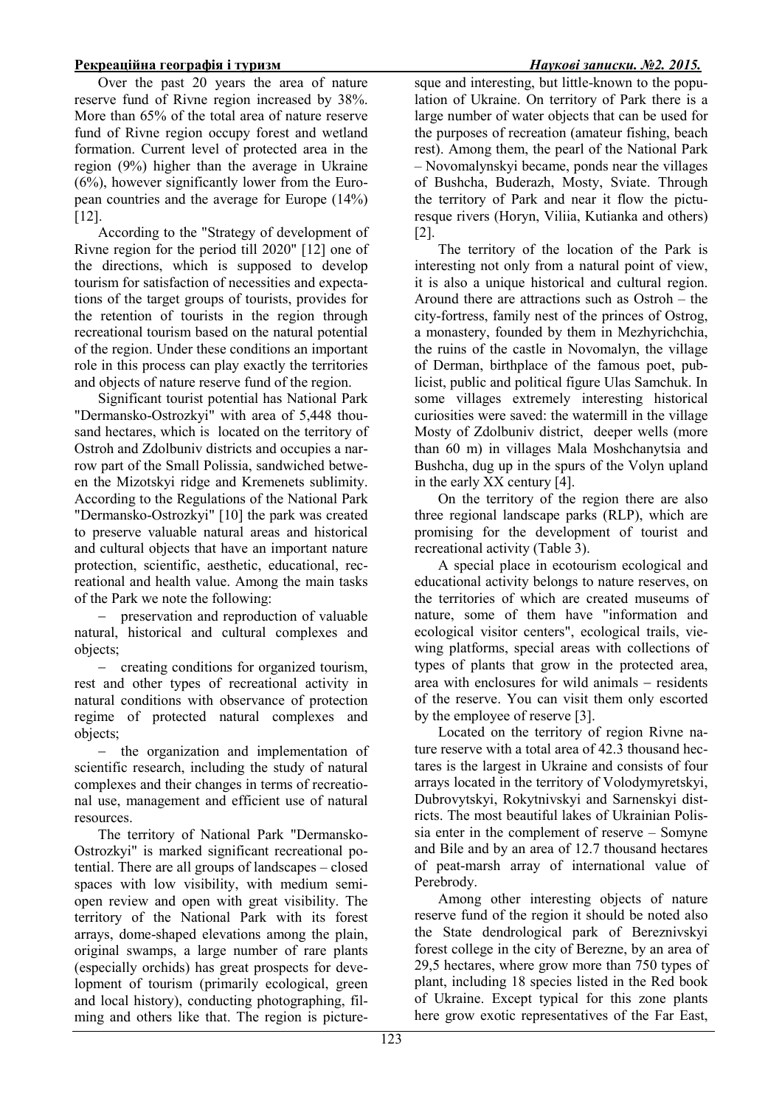Over the past 20 years the area of nature reserve fund of Rivne region increased by 38%. More than 65% of the total area of nature reserve fund of Rivne region occupy forest and wetland formation. Current level of protected area in the region (9%) higher than the average in Ukraine  $(6\%)$ , however significantly lower from the European countries and the average for Europe (14%) [12].

According to the "Strategy of development of Rivne region for the period till 2020" [12] one of the directions, which is supposed to develop tourism for satisfaction of necessities and expectations of the target groups of tourists, provides for the retention of tourists in the region through recreational tourism based on the natural potential of the region. Under these conditions an important role in this process can play exactly the territories and objects of nature reserve fund of the region.

Significant tourist potential has National Park "Dermansko-Ostrozkyi" with area of 5,448 thousand hectares, which is located on the territory of Ostroh and Zdolbuniv districts and occupies a narrow part of the Small Polissia, sandwiched between the Mizotskyi ridge and Kremenets sublimity. According to the Regulations of the National Park "Dermansko-Ostrozkyi" [10] the park was created to preserve valuable natural areas and historical and cultural objects that have an important nature protection, scientific, aesthetic, educational, recreational and health value. Among the main tasks of the Park we note the following:

− preservation and reproduction of valuable natural, historical and cultural complexes and objects;

− creating conditions for organized tourism, rest and other types of recreational activity in natural conditions with observance of protection regime of protected natural complexes and objects;

− the organization and implementation of scientific research, including the study of natural complexes and their changes in terms of recreational use, management and efficient use of natural resources.

The territory of National Park "Dermansko-Ostrozkyi" is marked significant recreational potential. There are all groups of landscapes – closed spaces with low visibility, with medium semiopen review and open with great visibility. The territory of the National Park with its forest arrays, dome-shaped elevations among the plain, original swamps, a large number of rare plants (especially orchids) has great prospects for development of tourism (primarily ecological, green and local history), conducting photographing, filming and others like that. The region is picture-

sque and interesting, but little-known to the population of Ukraine. On territory of Park there is a large number of water objects that can be used for the purposes of recreation (amateur fishing, beach rest). Among them, the pearl of the National Park – Novomalynskyi became, ponds near the villages of Bushcha, Buderazh, Mosty, Sviate. Through the territory of Park and near it flow the picturesque rivers (Horyn, Viliia, Kutianka and others) [2].

The territory of the location of the Park is interesting not only from a natural point of view, it is also a unique historical and cultural region. Around there are attractions such as Ostroh – the сity-fortress, family nest of the princes of Ostrog, a monastery, founded by them in Mezhyrichchia, the ruins of the castle in Novomalyn, the village of Derman, birthplace of the famous poet, publicist, public and political figure Ulas Samchuk. In some villages extremely interesting historical curiosities were saved: the watermill in the village Mosty of Zdolbuniv district, deeper wells (more than 60 m) in villages Mala Moshchanytsia and Bushcha, dug up in the spurs of the Volyn upland in the early XX century [4].

On the territory of the region there are also three regional landscape parks (RLP), which are promising for the development of tourist and recreational activity (Table 3).

A special place in ecotourism ecological and educational activity belongs to nature reserves, on the territories of which are created museums of nature, some of them have "information and ecological visitor centers", ecological trails, viewing platforms, special areas with collections of types of plants that grow in the protected area, area with enclosures for wild animals − residents of the reserve. You can visit them only escorted by the employee of reserve [3].

Located on the territory of region Rivne nature reserve with a total area of 42.3 thousand hectares is the largest in Ukraine and consists of four arrays located in the territory of Volodymyretskyi, Dubrovytskyi, Rokytnivskyi and Sarnenskyi districts. The most beautiful lakes of Ukrainian Polissia enter in the complement of reserve – Somyne and Bile and by an area of 12.7 thousand hectares of peat-marsh array of international value of Perebrody.

Among other interesting objects of nature reserve fund of the region it should be noted also the State dendrological park of Bereznivskyi forest college in the city of Berezne, by an area of 29,5 hectares, where grow more than 750 types of plant, including 18 species listed in the Red book of Ukraine. Except typical for this zone plants here grow exotic representatives of the Far East,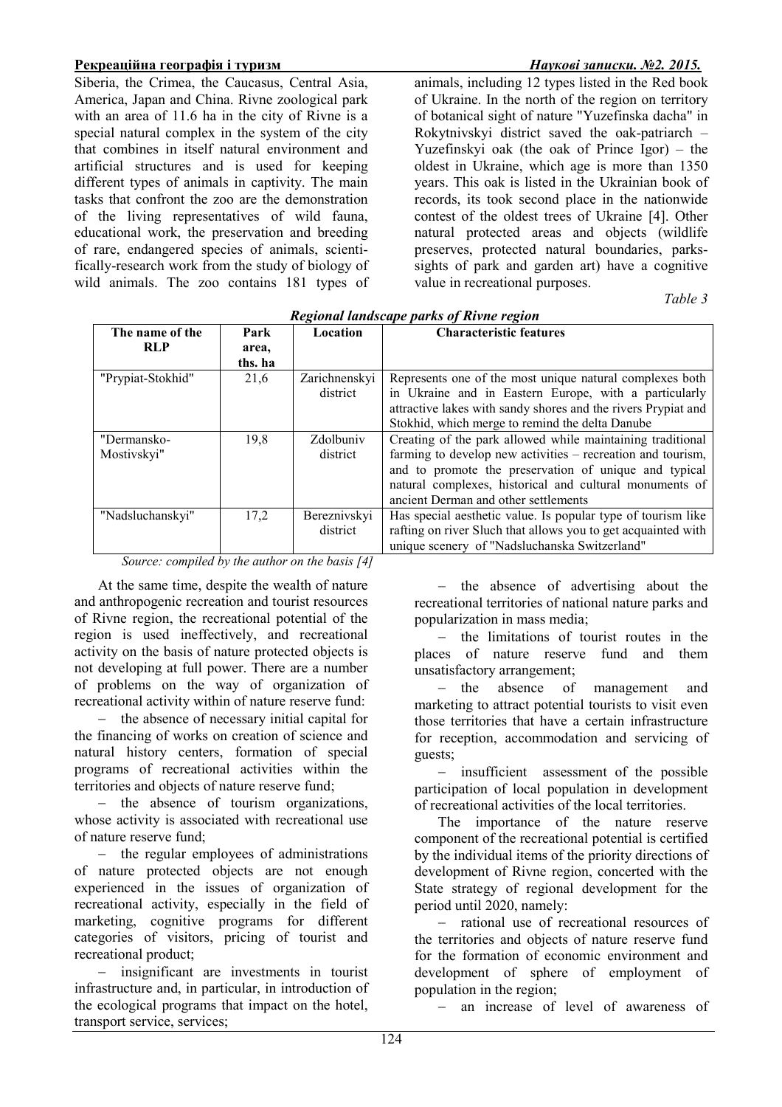Siberia, the Crimea, the Caucasus, Central Asia, America, Japan and China. Rivne zoological park with an area of 11.6 ha in the city of Rivne is a special natural complex in the system of the city that combines in itself natural environment and artificial structures and is used for keeping different types of animals in captivity. The main tasks that confront the zoo are the demonstration of the living representatives of wild fauna, educational work, the preservation and breeding of rare, endangered species of animals, scientifically-research work from the study of biology of wild animals. The zoo contains 181 types of

animals, including 12 types listed in the Red book of Ukraine. In the north of the region on territory of botanical sight of nature "Yuzefinska dacha" in Rokytnivskyi district saved the oak-patriarch – Yuzefinskyi oak (the oak of Prince Igor) – the oldest in Ukraine, which age is more than 1350 years. This oak is listed in the Ukrainian book of records, its took second place in the nationwide contest of the oldest trees of Ukraine [4]. Other natural protected areas and objects (wildlife preserves, protected natural boundaries, parkssights of park and garden art) have a cognitive value in recreational purposes.

*Table 3* 

| Regional landscape parks of Rivne region                                                                                                                                                                                                                                                                                                                                                                                 |         |               |                                                               |  |  |  |
|--------------------------------------------------------------------------------------------------------------------------------------------------------------------------------------------------------------------------------------------------------------------------------------------------------------------------------------------------------------------------------------------------------------------------|---------|---------------|---------------------------------------------------------------|--|--|--|
| The name of the                                                                                                                                                                                                                                                                                                                                                                                                          | Park    | Location      | <b>Characteristic features</b>                                |  |  |  |
| <b>RLP</b>                                                                                                                                                                                                                                                                                                                                                                                                               | area,   |               |                                                               |  |  |  |
|                                                                                                                                                                                                                                                                                                                                                                                                                          | ths. ha |               |                                                               |  |  |  |
| "Prypiat-Stokhid"                                                                                                                                                                                                                                                                                                                                                                                                        | 21,6    | Zarichnenskyi | Represents one of the most unique natural complexes both      |  |  |  |
|                                                                                                                                                                                                                                                                                                                                                                                                                          |         | district      | in Ukraine and in Eastern Europe, with a particularly         |  |  |  |
|                                                                                                                                                                                                                                                                                                                                                                                                                          |         |               | attractive lakes with sandy shores and the rivers Prypiat and |  |  |  |
|                                                                                                                                                                                                                                                                                                                                                                                                                          |         |               | Stokhid, which merge to remind the delta Danube               |  |  |  |
| "Dermansko-                                                                                                                                                                                                                                                                                                                                                                                                              | 19,8    | Zdolbuniv     | Creating of the park allowed while maintaining traditional    |  |  |  |
| Mostivskyi"                                                                                                                                                                                                                                                                                                                                                                                                              |         | district      | farming to develop new activities – recreation and tourism,   |  |  |  |
|                                                                                                                                                                                                                                                                                                                                                                                                                          |         |               | and to promote the preservation of unique and typical         |  |  |  |
|                                                                                                                                                                                                                                                                                                                                                                                                                          |         |               | natural complexes, historical and cultural monuments of       |  |  |  |
|                                                                                                                                                                                                                                                                                                                                                                                                                          |         |               | ancient Derman and other settlements                          |  |  |  |
| "Nadsluchanskyi"                                                                                                                                                                                                                                                                                                                                                                                                         | 17,2    | Bereznivskyi  | Has special aesthetic value. Is popular type of tourism like  |  |  |  |
|                                                                                                                                                                                                                                                                                                                                                                                                                          |         | district      | rafting on river Sluch that allows you to get acquainted with |  |  |  |
|                                                                                                                                                                                                                                                                                                                                                                                                                          |         |               | unique scenery of "Nadsluchanska Switzerland"                 |  |  |  |
| $C_1, \ldots, C_n, \ldots, C_n, C_n, \ldots, C_n, \ldots, C_n, \ldots, C_n, \ldots, C_n, \ldots, C_n, \ldots, C_n, \ldots, C_n, \ldots, C_n, \ldots, C_n, \ldots, C_n, \ldots, C_n, \ldots, C_n, \ldots, C_n, \ldots, C_n, \ldots, C_n, \ldots, C_n, \ldots, C_n, \ldots, C_n, \ldots, C_n, \ldots, C_n, \ldots, C_n, \ldots, C_n, \ldots, C_n, \ldots, C_n, \ldots, C_n, \ldots, C_n, \ldots, C_n, \ldots, C_n, \ldots$ |         |               |                                                               |  |  |  |

*Regional landscape parks of Rivne region* 

*Source: compiled by the author on the basis [4]*

At the same time, despite the wealth of nature and anthropogenic recreation and tourist resources of Rivne region, the recreational potential of the region is used ineffectively, and recreational activity on the basis of nature protected objects is not developing at full power. There are a number of problems on the way of organization of recreational activity within of nature reserve fund:

− the absence of necessary initial capital for the financing of works on creation of science and natural history centers, formation of special programs of recreational activities within the territories and objects of nature reserve fund;

− the absence of tourism organizations, whose activity is associated with recreational use of nature reserve fund;

− the regular employees of administrations of nature protected objects are not enough experienced in the issues of organization of recreational activity, especially in the field of marketing, cognitive programs for different categories of visitors, pricing of tourist and recreational product;

− insignificant are investments in tourist infrastructure and, in particular, in introduction of the ecological programs that impact on the hotel, transport service, services;

− the absence of advertising about the recreational territories of national nature parks and popularization in mass media;

− the limitations of tourist routes in the places of nature reserve fund and them unsatisfactory arrangement;

− the absence of management and marketing to attract potential tourists to visit even those territories that have a certain infrastructure for reception, accommodation and servicing of guests;

− insufficient assessment of the possible participation of local population in development of recreational activities of the local territories.

The importance of the nature reserve component of the recreational potential is certified by the individual items of the priority directions of development of Rivne region, concerted with the State strategy of regional development for the period until 2020, namely:

rational use of recreational resources of the territories and objects of nature reserve fund for the formation of economic environment and development of sphere of employment of population in the region;

− an increase of level of awareness of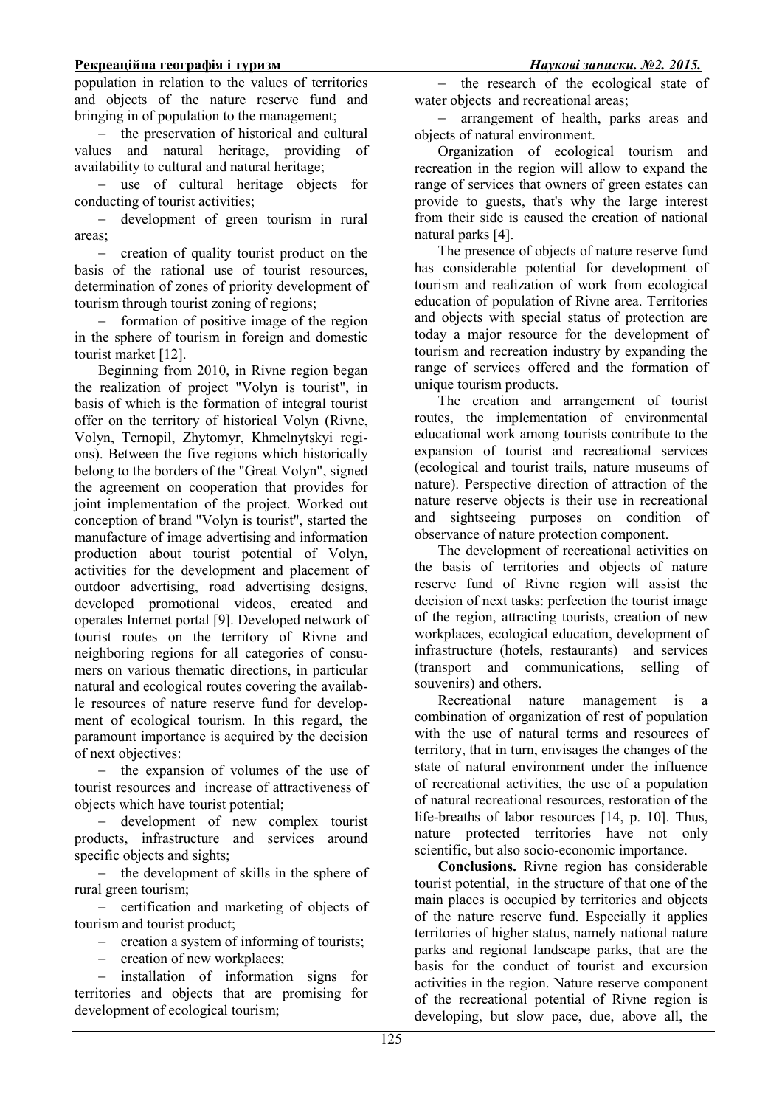population in relation to the values of territories and objects of the nature reserve fund and bringing in of population to the management;

− the preservation of historical and cultural values and natural heritage, providing of availability to cultural and natural heritage;

− use of cultural heritage objects for conducting of tourist activities;

− development of green tourism in rural areas;

− creation of quality tourist product on the basis of the rational use of tourist resources, determination of zones of priority development of tourism through tourist zoning of regions;

− formation of positive image of the region in the sphere of tourism in foreign and domestic tourist market [12].

Beginning from 2010, in Rivne region began the realization of project "Volyn is tourist", in basis of which is the formation of integral tourist offer on the territory of historical Volyn (Rivne, Volyn, Ternopil, Zhytomyr, Khmelnytskyi regions). Between the five regions which historically belong to the borders of the "Great Volyn", signed the agreement on cooperation that provides for joint implementation of the project. Worked out conception of brand "Volyn is tourist", started the manufacture of image advertising and information production about tourist potential of Volyn, activities for the development and placement of outdoor advertising, road advertising designs, developed promotional videos, created and operates Internet portal [9]. Developed network of tourist routes on the territory of Rivne and neighboring regions for all categories of consumers on various thematic directions, in particular natural and ecological routes covering the available resources of nature reserve fund for development of ecological tourism. In this regard, the paramount importance is acquired by the decision of next objectives:

− the expansion of volumes of the use of tourist resources and increase of attractiveness of objects which have tourist potential;

− development of new complex tourist products, infrastructure and services around specific objects and sights;

− the development of skills in the sphere of rural green tourism;

− certification and marketing of objects of tourism and tourist product;

− creation a system of informing of tourists;

− creation of new workplaces;

installation of information signs for territories and objects that are promising for development of ecological tourism;

− the research of the ecological state of water objects and recreational areas;

− arrangement of health, parks areas and objects of natural environment.

Organization of ecological tourism and recreation in the region will allow to expand the range of services that owners of green estates can provide to guests, that's why the large interest from their side is caused the creation of national natural parks [4].

The presence of objects of nature reserve fund has considerable potential for development of tourism and realization of work from ecological education of population of Rivne area. Territories and objects with special status of protection are today a major resource for the development of tourism and recreation industry by expanding the range of services offered and the formation of unique tourism products.

The creation and arrangement of tourist routes, the implementation of environmental educational work among tourists contribute to the expansion of tourist and recreational services (ecological and tourist trails, nature museums of nature). Perspective direction of attraction of the nature reserve objects is their use in recreational and sightseeing purposes on condition of observance of nature protection component.

The development of recreational activities on the basis of territories and objects of nature reserve fund of Rivne region will assist the decision of next tasks: perfection the tourist image of the region, attracting tourists, creation of new workplaces, ecological education, development of infrastructure (hotels, restaurants) and services (transport and communications, selling of souvenirs) and others.

Recreational nature management is a combination of organization of rest of population with the use of natural terms and resources of territory, that in turn, envisages the changes of the state of natural environment under the influence of recreational activities, the use of a population of natural recreational resources, restoration of the life-breaths of labor resources [14, p. 10]. Thus, nature protected territories have not only scientific, but also socio-economic importance.

**Conclusions.** Rivne region has considerable tourist potential, in the structure of that one of the main places is occupied by territories and objects of the nature reserve fund. Especially it applies territories of higher status, namely national nature parks and regional landscape parks, that are the basis for the conduct of tourist and excursion activities in the region. Nature reserve component of the recreational potential of Rivne region is developing, but slow pace, due, above all, the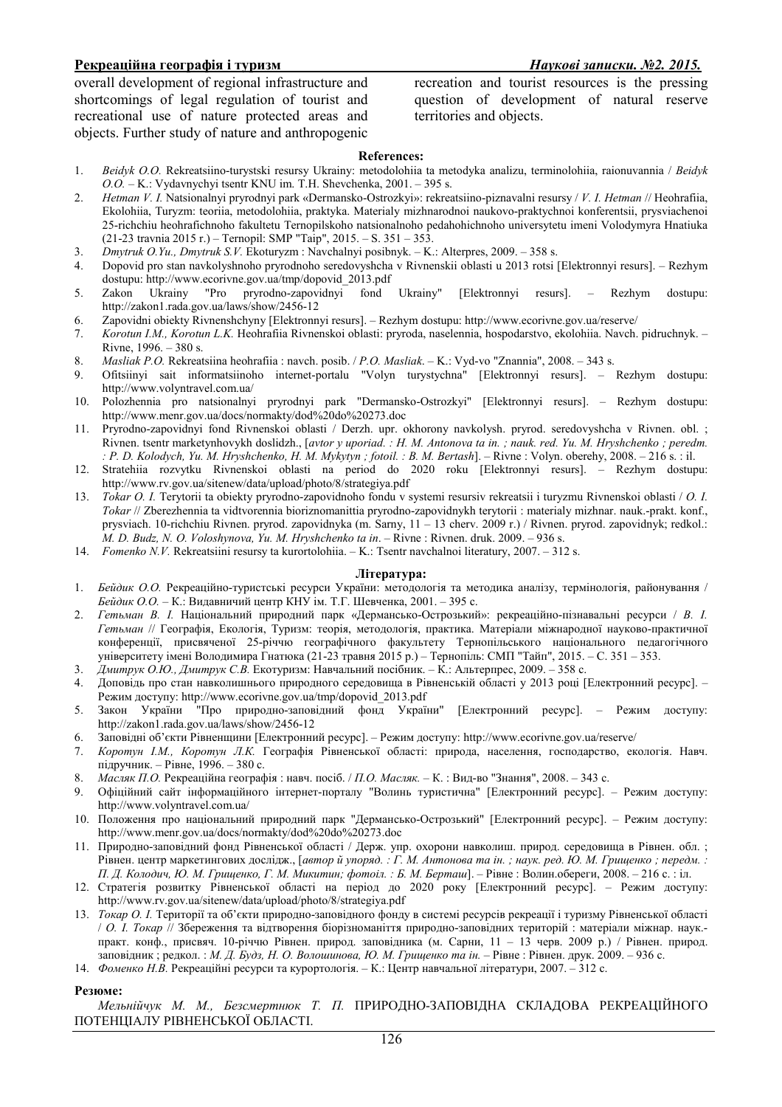overall development of regional infrastructure and shortcomings of legal regulation of tourist and recreational use of nature protected areas and objects. Further study of nature and anthropogenic

recreation and tourist resources is the pressing question of development of natural reserve territories and objects.

### **References:**

- 1. *Beidyk O.O.* Rekreatsiino-turystski resursy Ukrainy: metodolohiia ta metodyka analizu, terminolohiia, raionuvannia / *Beidyk O.O.* – K.: Vydavnychyi tsentr KNU im. T.H. Shevchenka, 2001. – 395 s.
- 2. *Hetman V. I.* Natsionalnyi pryrodnyi park «Dermansko-Ostrozkyi»: rekreatsiino-piznavalni resursy / *V. I. Hetman* // Heohrafiia, Ekolohiia, Turyzm: teoriia, metodolohiia, praktyka. Materialy mizhnarodnoi naukovo-praktychnoi konferentsii, prysviachenoi 25-richchiu heohrafichnoho fakultetu Ternopilskoho natsionalnoho pedahohichnoho universytetu imeni Volodymyra Hnatiuka (21-23 travnia 2015 r.) – Ternopil: SMP "Taip", 2015. – S. 351 – 353.
- 3. *Dmytruk O.Yu., Dmytruk S.V.* Ekoturyzm : Navchalnyi posibnyk. K.: Alterpres, 2009. 358 s.
- 4. Dopovid pro stan navkolyshnoho pryrodnoho seredovyshcha v Rivnenskii oblasti u 2013 rotsi [Elektronnyi resurs]. Rezhym dostupu: http://www.ecorivne.gov.ua/tmp/dopovid\_2013.pdf
- 5. Zakon Ukrainy "Pro pryrodno-zapovidnyi fond Ukrainy" [Elektronnyi resurs]. Rezhym dostupu: http://zakon1.rada.gov.ua/laws/show/2456-12
- 6. Zapovidni obiekty Rivnenshchyny [Elektronnyi resurs]. Rezhym dostupu: http://www.ecorivne.gov.ua/reserve/
- 7. *Korotun I.M., Korotun L.K.* Heohrafiia Rivnenskoi oblasti: pryroda, naselennia, hospodarstvo, ekolohiia. Navch. pidruchnyk. Rivne, 1996. – 380 s.
- 8. *Masliak P.O.* Rekreatsiina heohrafiia : navch. posib. / *P.O. Masliak*. K.: Vyd-vo "Znannia", 2008. 343 s.
- 9. Ofitsiinyi sait informatsiinoho internet-portalu "Volyn turystychna" [Elektronnyi resurs]. Rezhym dostupu: http://www.volyntravel.com.ua/
- 10. Polozhennia pro natsionalnyi pryrodnyi park "Dermansko-Ostrozkyi" [Elektronnyi resurs]. Rezhym dostupu: http://www.menr.gov.ua/docs/normakty/dod%20do%20273.doc
- 11. Pryrodno-zapovidnyi fond Rivnenskoi oblasti / Derzh. upr. okhorony navkolysh. pryrod. seredovyshcha v Rivnen. obl. ; Rivnen. tsentr marketynhovykh doslidzh., [*avtor y uporiad. : H. M. Antonova ta in. ; nauk. red. Yu. M. Hryshchenko ; peredm. : P. D. Kolodych, Yu. M. Hryshchenko, H. M. Mykytyn ; fotoil. : B. M. Bertash*]. – Rivne : Volyn. oberehy, 2008. – 216 s. : il.
- 12. Stratehiia rozvytku Rivnenskoi oblasti na period do 2020 roku [Elektronnyi resurs]. Rezhym dostupu: http://www.rv.gov.ua/sitenew/data/upload/photo/8/strategiya.pdf
- 13. *Tokar O. I.* Terytorii ta obiekty pryrodno-zapovidnoho fondu v systemi resursiv rekreatsii i turyzmu Rivnenskoi oblasti / *O. I. Tokar* // Zberezhennia ta vidtvorennia bioriznomanittia pryrodno-zapovidnykh terytorii : materialy mizhnar. nauk.-prakt. konf., prysviach. 10-richchiu Rivnen. pryrod. zapovidnyka (m. Sarny, 11 – 13 cherv. 2009 r.) / Rivnen. pryrod. zapovidnyk; redkol.: *M. D. Budz, N. O. Voloshynova, Yu. M. Hryshchenko ta in*. – Rivne : Rivnen. druk. 2009. – 936 s.
- 14. *Fomenko N.V.* Rekreatsiini resursy ta kurortolohiia. K.: Tsentr navchalnoi literatury, 2007. 312 s.

### **Література:**

- 1. *Бейдик О.О.* Рекреаційно-туристські ресурси України: методологія та методика аналізу, термінологія, районування / *Бейдик О.О. –* К.: Видавничий центр КНУ ім. Т.Г. Шевченка, 2001. – 395 с.
- 2. *Гетьман В. І.* Національний природний парк «Дермансько-Острозький»: рекреаційно-пізнавальні ресурси / *В. І. Гетьман* // Географія, Екологія, Туризм: теорія, методологія, практика. Матеріали міжнародної науково-практичної конференції, присвяченої 25-річчю географічного факультету Тернопільського національного педагогічного університету імені Володимира Гнатюка (21-23 травня 2015 р.) – Тернопіль: СМП "Тайп", 2015. – С. 351 – 353.
- 3. *Дмитрук О.Ю., Дмитрук С.В.* Екотуризм: Навчальний посібник. К.: Альтерпрес, 2009. 358 с.
- 4. Доповідь про стан навколишнього природного середовища в Рівненській області у 2013 році [Електронний ресурс]. Режим доступу: http://www.ecorivne.gov.ua/tmp/dopovid\_2013.pdf
- 5. Закон України "Про природно-заповідний фонд України" [Електронний ресурс]. Режим доступу: http://zakon1.rada.gov.ua/laws/show/2456-12
- 6. Заповідні об'єкти Рівненщини [Електронний ресурс]. Режим доступу: http://www.ecorivne.gov.ua/reserve/<br>7. Коротун І.М., Коротун Л.К. Географія Рівненської області: природа, населення, господарство. ек
- 7. *Коротун І.М., Коротун Л.К.* Географія Рівненської області: природа, населення, господарство, екологія. Навч. підручник. – Рівне, 1996. – 380 с.
- 8. *Масляк П.О.* Рекреаційна географія : навч. посіб. / *П.О. Масляк.*  К. : Вид-во "Знання", 2008. 343 с.
- 9. Офіційний сайт інформаційного інтернет-порталу "Волинь туристична" [Електронний ресурс]. Режим доступу: http://www.volyntravel.com.ua/
- 10. Положення про національний природний парк "Дермансько-Острозький" [Електронний ресурс]. Режим доступу: http://www.menr.gov.ua/docs/normakty/dod%20do%20273.doc
- 11. Природно-заповідний фонд Рівненської області / Держ. упр. охорони навколиш. природ. середовища в Рівнен. обл. ; Рівнен. центр маркетингових дослідж., [*автор й упоряд. : Г. М. Антонова та ін. ; наук. ред. Ю. М. Грищенко ; передм. : П. Д. Колодич, Ю. М. Грищенко, Г. М. Микитин; фотоіл. : Б. М. Берташ*]. – Рівне : Волин.обереги, 2008. – 216 с. : іл.
- 12. Стратегія розвитку Рівненської області на період до 2020 року [Електронний ресурс]. Режим доступу: http://www.rv.gov.ua/sitenew/data/upload/photo/8/strategiya.pdf
- 13. *Токар О. І.* Території та об'єкти природно-заповідного фонду в системі ресурсів рекреації і туризму Рівненської області / *О. І. Токар* // Збереження та відтворення біорізноманіття природно-заповідних територій : матеріали міжнар. наук. практ. конф., присвяч. 10-річчю Рівнен. природ. заповідника (м. Сарни, 11 – 13 черв. 2009 р.) / Рівнен. природ. заповідник ; редкол. : *М. Д. Будз, Н. О. Волошинова, Ю. М. Грищенко та ін.* – Рівне : Рівнен. друк. 2009. – 936 с.
- 14. *Фоменко Н.В.* Рекреаційні ресурси та курортологія. К.: Центр навчальної літератури, 2007. 312 с.

### **Резюме:**

*Мельнійчук М. М., Безсмертнюк Т. П.* ПРИРОДНО-ЗАПОВІДНА СКЛАДОВА РЕКРЕАЦІЙНОГО ПОТЕНЦІАЛУ РІВНЕНСЬКОЇ ОБЛАСТІ.